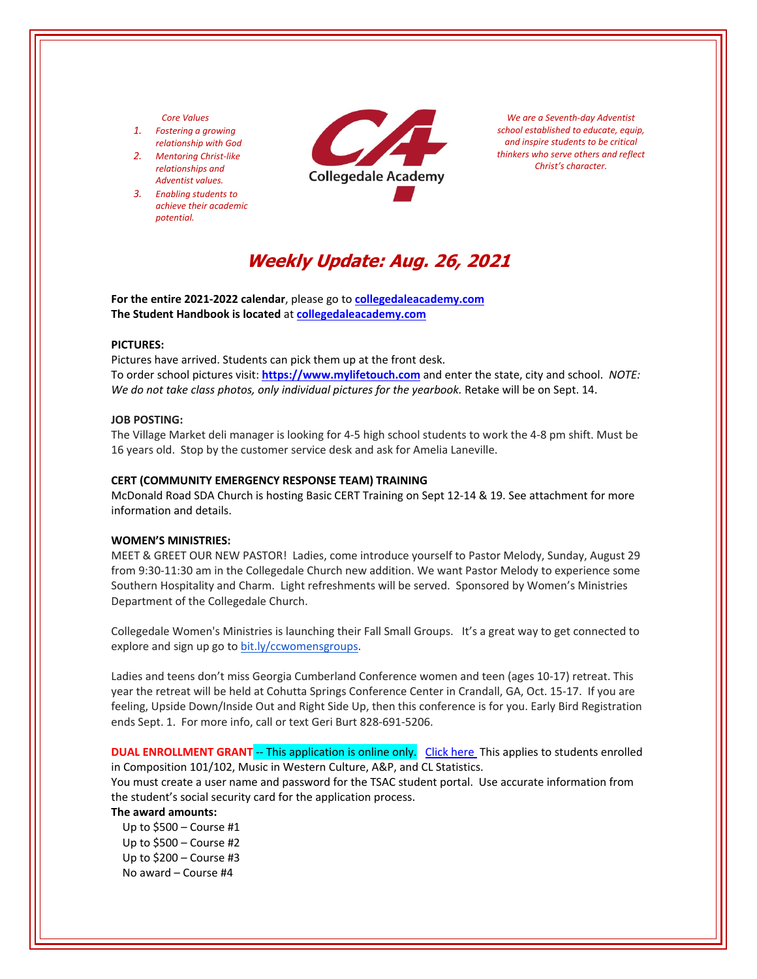# *Core Values*

- *1. Fostering a growing relationship with God*
- *2. Mentoring Christ‐like relationships and Adventist values.*
- *3. Enabling students to achieve their academic potential.*



*We are a Seventh‐day Adventist school established to educate, equip, and inspire students to be critical thinkers who serve others and reflect Christ's character.*

# **Weekly Update: Aug. 26, 2021**

**For the entire 2021‐2022 calendar**, please go to **[collegedaleacademy.com](https://www.collegedaleacademy.com/calendar/) The Student Handbook is located** at **[collegedaleacademy.com](https://www.collegedaleacademy.com/wp-content/uploads/2020/09/2020-2021-HdBk.pdf)**

#### **PICTURES:**

Pictures have arrived. Students can pick them up at the front desk. To order school pictures visit: **[https://www.mylifetouch.com](https://my.lifetouch.com/mylifetouch/#/)** and enter the state, city and school.*NOTE: We do not take class photos, only individual pictures for the yearbook.* Retake will be on Sept. 14.

## **JOB POSTING:**

The Village Market deli manager is looking for 4‐5 high school students to work the 4‐8 pm shift. Must be 16 years old. Stop by the customer service desk and ask for Amelia Laneville.

## **CERT (COMMUNITY EMERGENCY RESPONSE TEAM) TRAINING**

McDonald Road SDA Church is hosting Basic CERT Training on Sept 12‐14 & 19. See attachment for more information and details.

#### **WOMEN'S MINISTRIES:**

MEET & GREET OUR NEW PASTOR! Ladies, come introduce yourself to Pastor Melody, Sunday, August 29 from 9:30‐11:30 am in the Collegedale Church new addition. We want Pastor Melody to experience some Southern Hospitality and Charm. Light refreshments will be served. Sponsored by Women's Ministries Department of the Collegedale Church.

Collegedale Women's Ministries is launching their Fall Small Groups. It's a great way to get connected to explore and sign up go to [bit.ly/ccwomensgroups.](https://collegedalechurch.churchcenter.com/groups/women-s-ministries)

Ladies and teens don't miss Georgia Cumberland Conference women and teen (ages 10‐17) retreat. This year the retreat will be held at Cohutta Springs Conference Center in Crandall, GA, Oct. 15‐17. If you are feeling, Upside Down/Inside Out and Right Side Up, then this conference is for you. Early Bird Registration ends Sept. 1. For more info, call or text Geri Burt 828‐691‐5206.

**DUAL ENROLLMENT GRANT** ‐‐ This application is online only. Click [here](https://www.tn.gov/collegepays/money-for-college/tn-education-lottery-programs/dual-enrollment-grant.html) This applies to students enrolled in Composition 101/102, Music in Western Culture, A&P, and CL Statistics.

You must create a user name and password for the TSAC student portal. Use accurate information from the student's social security card for the application process.

# **The award amounts:**

 Up to \$500 – Course #1 Up to \$500 – Course #2 Up to \$200 – Course #3 No award – Course #4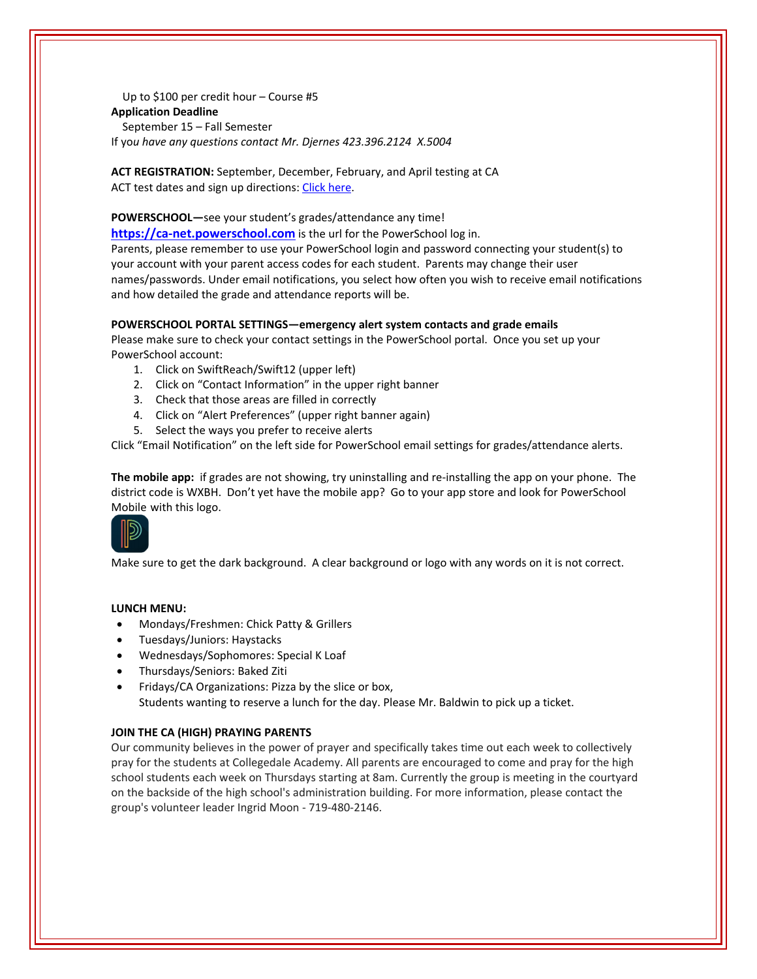Up to \$100 per credit hour – Course #5 **Application Deadline** September 15 – Fall Semester If yo*u have any questions contact Mr. Djernes 423.396.2124 X.5004*

**ACT REGISTRATION:** September, December, February, and April testing at CA ACT test dates and sign up directions: Click [here.](https://www.act.org/)

**POWERSCHOOL—**see your student's grades/attendance any time!

**https://ca-[net.powerschool.com](https://ca-net.powerschool.com/public/)** is the url for the PowerSchool log in.

Parents, please remember to use your PowerSchool login and password connecting your student(s) to your account with your parent access codes for each student. Parents may change their user names/passwords. Under email notifications, you select how often you wish to receive email notifications and how detailed the grade and attendance reports will be.

# **POWERSCHOOL PORTAL SETTINGS—emergency alert system contacts and grade emails**

Please make sure to check your contact settings in the PowerSchool portal. Once you set up your PowerSchool account:

- 1. Click on SwiftReach/Swift12 (upper left)
- 2. Click on "Contact Information" in the upper right banner
- 3. Check that those areas are filled in correctly
- 4. Click on "Alert Preferences" (upper right banner again)
- 5. Select the ways you prefer to receive alerts

Click "Email Notification" on the left side for PowerSchool email settings for grades/attendance alerts.

**The mobile app:** if grades are not showing, try uninstalling and re‐installing the app on your phone. The district code is WXBH. Don't yet have the mobile app? Go to your app store and look for PowerSchool Mobile with this logo.



Make sure to get the dark background. A clear background or logo with any words on it is not correct.

# **LUNCH MENU:**

 $\mathcal{L}$ 

- Mondays/Freshmen: Chick Patty & Grillers
- Tuesdays/Juniors: Haystacks
- Wednesdays/Sophomores: Special K Loaf
- Thursdays/Seniors: Baked Ziti
- Fridays/CA Organizations: Pizza by the slice or box, Students wanting to reserve a lunch for the day. Please Mr. Baldwin to pick up a ticket.

# **JOIN THE CA (HIGH) PRAYING PARENTS**

Our community believes in the power of prayer and specifically takes time out each week to collectively pray for the students at Collegedale Academy. All parents are encouraged to come and pray for the high school students each week on Thursdays starting at 8am. Currently the group is meeting in the courtyard on the backside of the high school's administration building. For more information, please contact the group's volunteer leader Ingrid Moon ‐ 719‐480‐2146.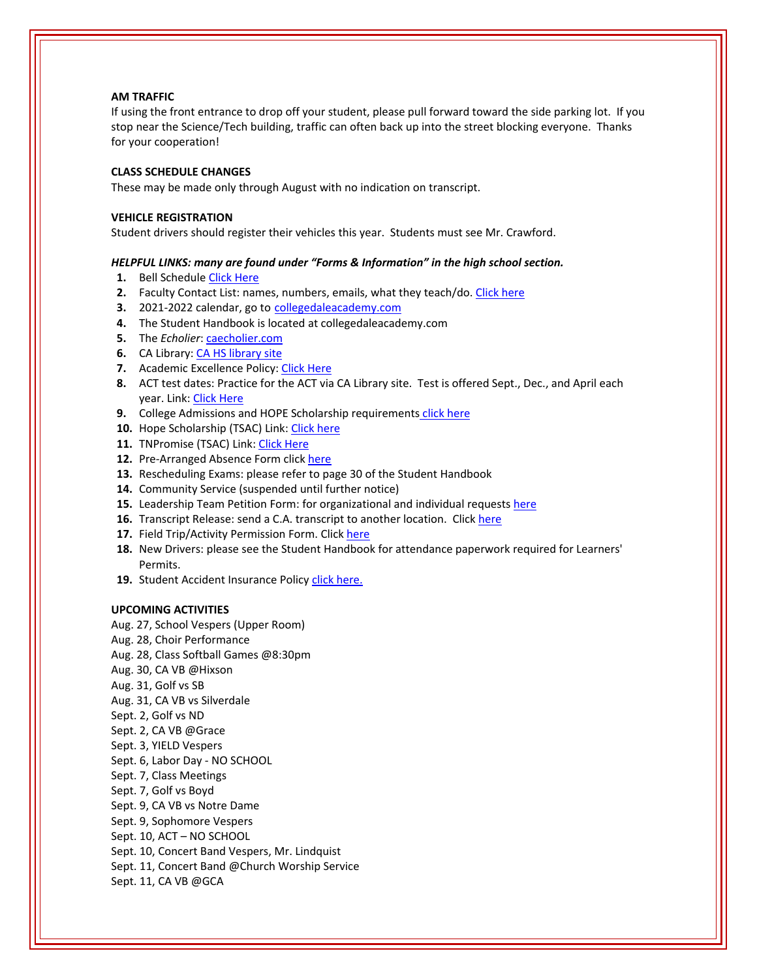# **AM TRAFFIC**

If using the front entrance to drop off your student, please pull forward toward the side parking lot. If you stop near the Science/Tech building, traffic can often back up into the street blocking everyone. Thanks for your cooperation!

# **CLASS SCHEDULE CHANGES**

These may be made only through August with no indication on transcript.

#### **VEHICLE REGISTRATION**

Student drivers should register their vehicles this year. Students must see Mr. Crawford.

## *HELPFUL LINKS: many are found under "Forms & Information" in the high school section.*

- **1.** Bell Schedule Click [Here](https://www.collegedaleacademy.com/wp-content/uploads/2018/08/Bell-Schedule.pdf)
- **2.** Faculty Contact List: names, numbers, emails, what they teach/do. [Click](https://www.collegedaleacademy.com/wp-content/uploads/2021/08/faculty-only-2021-2022.pdf) here
- **3.** 2021‐2022 calendar, go to [collegedaleacademy.com](https://www.collegedaleacademy.com/calendars/)
- **4.** The Student Handbook is located at collegedaleacademy.com
- **5.** The *Echolier*: *[caecholier.com](https://caecholier.com/)*
- **6.** CA Library: CA HS [library](https://southernuniongcc.mlasolutions.com/m5/catalog/(S(r3oiofx5z1czt1ua0uy0iuk3))/default.aspx?installation=CDA) site
- **7.** Academic Excellence Policy: Click [Here](https://www.collegedaleacademy.com/wp-content/uploads/2018/08/Academic-Excellence-Policy.pdf)
- **8.** ACT test dates: Practice for the ACT via CA Library site. Test is offered Sept., Dec., and April each year. Link: Click [Here](https://www.act.org/)
- **9.** College Admissions and HOPE Scholarship requirements click [here](https://www.collegedaleacademy.com/wp-content/uploads/2019/08/TSAC-Scholarship-Info.pdf)
- 10. Hope Scholarship (TSAC) Link: Click [here](https://www.tn.gov/collegepays/money-for-college/tn-education-lottery-programs/tennessee-hope-scholarship.html)
- **11.** TNPromise (TSAC) Link: Click [Here](https://www.tn.gov/tnpromise.html)
- 12. Pre-Arranged Absence Form click [here](https://www.collegedaleacademy.com/wp-content/uploads/2016/11/Class-Absence-Request-Form-May-2017.pdf)
- **13.** Rescheduling Exams: please refer to page 30 of the Student Handbook
- **14.** Community Service (suspended until further notice)
- **15.** Leadership Team Petition Form: for organizational and individual requests [here](https://www.collegedaleacademy.com/wp-content/uploads/2019/08/Leadership-Petition-SSch.pdf)
- **16.** Transcript Release: send a C.A. transcript to another location. Click [here](https://www.collegedaleacademy.com/wp-content/uploads/2016/12/transcriptrelease2014.pdf)
- **17.** Field Trip/Activity Permission Form. Click [here](https://www.collegedaleacademy.com/wp-content/uploads/2018/08/Field-Trip-form.pdf)
- **18.** New Drivers: please see the Student Handbook for attendance paperwork required for Learners' Permits.
- 19. Student Accident Insurance Policy click [here.](https://adventistrisk.org/en-us/insurance/nad/k-12-student-accident)

#### **UPCOMING ACTIVITIES**

- Aug. 27, School Vespers (Upper Room)
- Aug. 28, Choir Performance
- Aug. 28, Class Softball Games @8:30pm
- Aug. 30, CA VB @Hixson
- Aug. 31, Golf vs SB
- Aug. 31, CA VB vs Silverdale
- Sept. 2, Golf vs ND
- Sept. 2, CA VB @Grace
- Sept. 3, YIELD Vespers
- Sept. 6, Labor Day ‐ NO SCHOOL
- Sept. 7, Class Meetings
- Sept. 7, Golf vs Boyd
- Sept. 9, CA VB vs Notre Dame
- Sept. 9, Sophomore Vespers
- Sept. 10, ACT NO SCHOOL
- Sept. 10, Concert Band Vespers, Mr. Lindquist
- Sept. 11, Concert Band @Church Worship Service
- Sept. 11, CA VB @GCA